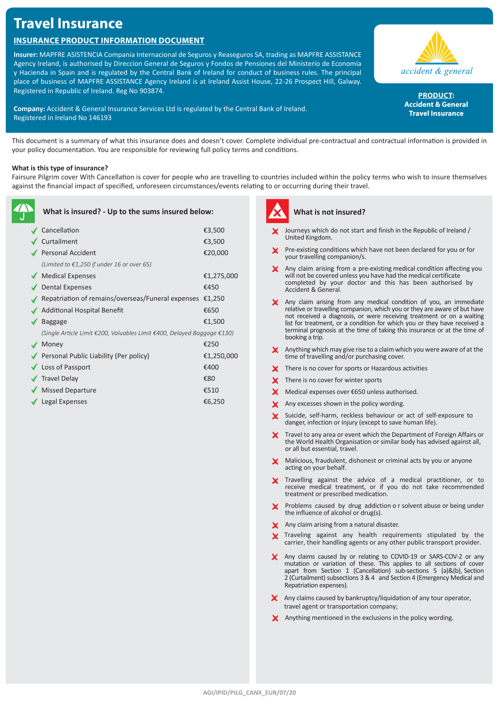# **Travel Insurance**

# **Insurance Product Information Document**

**Insurer:** MAPFRE ASISTENCIA Compania Internacional de Seguros y Reaseguros SA, trading as MAPFRE ASSISTANCE Agency Ireland, is authorised by Direccion General de Seguros y Fondos de Pensiones del Ministerio de Economia y Hacienda in Spain and is regulated by the Central Bank of Ireland for conduct of business rules. The principal place of business of MAPFRE ASSISTANCE Agency Ireland is at Ireland Assist House, 22-26 Prospect Hill, Galway. Registered in Republic of Ireland. Reg No 903874.

**Company:** Accident & General Insurance Services Ltd is regulated by the Central Bank of Ireland. Registered in Ireland No 146193



**Product: Accident & General Travel Insurance**

This document is a summary of what this insurance does and doesn't cover. Complete individual pre-contractual and contractual information is provided in your policy documentation. You are responsible for reviewing full policy terms and conditions.

## **What is this type of insurance?**

Fairsure Pilgrim cover With Cancellation is cover for people who are travelling to countries included within the policy terms who wish to insure themselves against the financial impact of specified, unforeseen circumstances/events relating to or occurring during their travel.

| What is insured? - Up to the sums insured below: |                                                                         |            |
|--------------------------------------------------|-------------------------------------------------------------------------|------------|
|                                                  | Cancellation                                                            | €3,500     |
|                                                  | Curtailment                                                             | €3,500     |
|                                                  | ✔ Personal Accident                                                     | €20,000    |
|                                                  | (Limited to $£1,250$ if under 16 or over 65)                            |            |
|                                                  | ◆ Medical Expenses                                                      | €1,275,000 |
|                                                  | Dental Expenses                                                         | €450       |
|                                                  | Repatriation of remains/overseas/Funeral expenses                       | €1,250     |
|                                                  | <b>Additional Hospital Benefit</b>                                      | €650       |
|                                                  | <b>Baggage</b>                                                          | €1,500     |
|                                                  | (Single Article Limit €200, Valuables Limit €400, Delayed Baggage €130) |            |
|                                                  | Money                                                                   | €250       |
|                                                  | ◆ Personal Public Liability (Per policy)                                | €1,250,000 |
|                                                  | ◆ Loss of Passport                                                      | €400       |
|                                                  | <b>√</b> Travel Delay                                                   | €80        |
|                                                  | <b>Missed Departure</b>                                                 | €510       |
|                                                  | Legal Expenses                                                          | €6,250     |



# **What is not insured?**

- Journeys which do not start and finish in the Republic of Ireland / United Kingdom.
- **X** Pre-existing conditions which have not been declared for you or for your travelling companion/s.
- Any claim arising from a pre-existing medical condition affecting you will not be covered unless you have had the medical certificate completed by your doctor and this has been authorised by Accident & General.
- X Any claim arising from any medical condition of you, an immediate relative or travelling companion, which you or they are aware of but have not received a diagnosis, or were receiving treatment or on a waiting list for treatment, or a condition for which you or they have received a terminal prognosis at the time of taking this insurance or at the time of booking a trip.
- Anything which may give rise to a claim which you were aware of at the X. time of travelling and/or purchasing cover.
- $\boldsymbol{\times}$  There is no cover for sports or Hazardous activities
- X There is no cover for winter sports
- $\mathsf{\times}$  Medical expenses over €650 unless authorised.
- X Any excesses shown in the policy wording.
- Suicide, self-harm, reckless behaviour or act of self-exposure to danger, infection or injury (except to save human life).
- Travel to any area or event which the Department of Foreign Affairs or the World Health Organisation or similar body has advised against all, or all but essential, travel.
- X Malicious, fraudulent, dishonest or criminal acts by you or anyone acting on your behalf.
- X Travelling against the advice of a medical practitioner, or to receive medical treatment, or if you do not take recommended treatment or prescribed medication.
- Problems caused by drug addiction o r solvent abuse or being under the influence of alcohol or drug(s).
- X Any claim arising from a natural disaster.
- X Traveling against any health requirements stipulated by the carrier, their handling agents or any other public transport provider.
- Any claims caused by or relating to COVID-19 or SARS-COV-2 or any mutation or variation of these. This applies to all sections of cover apart from Section 1 (Cancellation) sub-sections 5 (a)&(b), Section 2 (Curtailment) subsections 3 & 4 and Section 4 (Emergency Medical and Repatriation expenses).
- X Any claims caused by bankruptcy/liquidation of any tour operator, travel agent or transportation company;
- $\boldsymbol{\times}$  Anything mentioned in the exclusions in the policy wording.